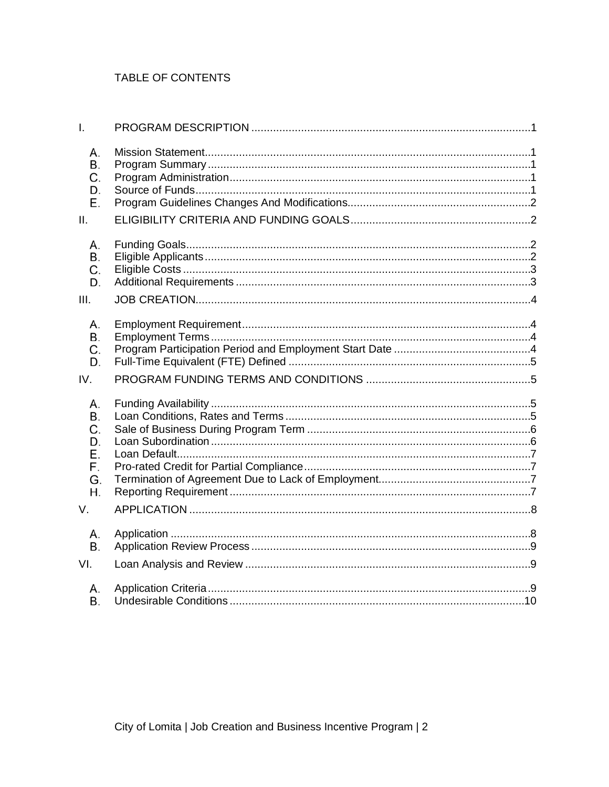# TABLE OF CONTENTS

| I.                                                 |  |
|----------------------------------------------------|--|
| А.<br>В.<br>C.<br>D.<br>Е.<br>II.                  |  |
| А.<br>В.<br>C.<br>D.<br>III.                       |  |
| А.<br>В.<br>C.<br>D.<br>IV.                        |  |
| А.<br>В.<br>С.<br>D.<br>Е.<br>F.<br>G.<br>Η.<br>V. |  |
| А.<br>В.<br>VI.                                    |  |
| А.<br>Β.                                           |  |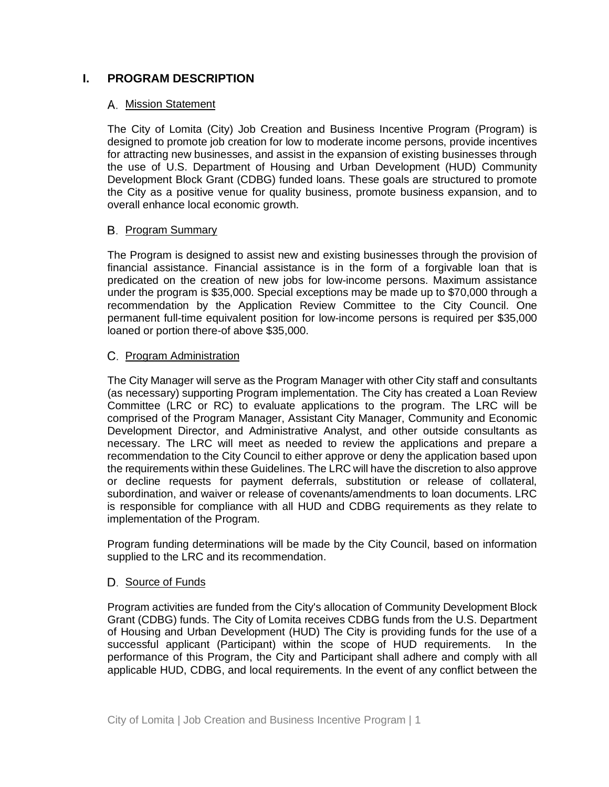# **I. PROGRAM DESCRIPTION**

### A. Mission Statement

The City of Lomita (City) Job Creation and Business Incentive Program (Program) is designed to promote job creation for low to moderate income persons, provide incentives for attracting new businesses, and assist in the expansion of existing businesses through the use of U.S. Department of Housing and Urban Development (HUD) Community Development Block Grant (CDBG) funded loans. These goals are structured to promote the City as a positive venue for quality business, promote business expansion, and to overall enhance local economic growth.

### **B.** Program Summary

The Program is designed to assist new and existing businesses through the provision of financial assistance. Financial assistance is in the form of a forgivable loan that is predicated on the creation of new jobs for low-income persons. Maximum assistance under the program is \$35,000. Special exceptions may be made up to \$70,000 through a recommendation by the Application Review Committee to the City Council. One permanent full-time equivalent position for low-income persons is required per \$35,000 loaned or portion there-of above \$35,000.

### C. Program Administration

The City Manager will serve as the Program Manager with other City staff and consultants (as necessary) supporting Program implementation. The City has created a Loan Review Committee (LRC or RC) to evaluate applications to the program. The LRC will be comprised of the Program Manager, Assistant City Manager, Community and Economic Development Director, and Administrative Analyst, and other outside consultants as necessary. The LRC will meet as needed to review the applications and prepare a recommendation to the City Council to either approve or deny the application based upon the requirements within these Guidelines. The LRC will have the discretion to also approve or decline requests for payment deferrals, substitution or release of collateral, subordination, and waiver or release of covenants/amendments to loan documents. LRC is responsible for compliance with all HUD and CDBG requirements as they relate to implementation of the Program.

Program funding determinations will be made by the City Council, based on information supplied to the LRC and its recommendation.

## D. Source of Funds

Program activities are funded from the City's allocation of Community Development Block Grant (CDBG) funds. The City of Lomita receives CDBG funds from the U.S. Department of Housing and Urban Development (HUD) The City is providing funds for the use of a successful applicant (Participant) within the scope of HUD requirements. In the performance of this Program, the City and Participant shall adhere and comply with all applicable HUD, CDBG, and local requirements. In the event of any conflict between the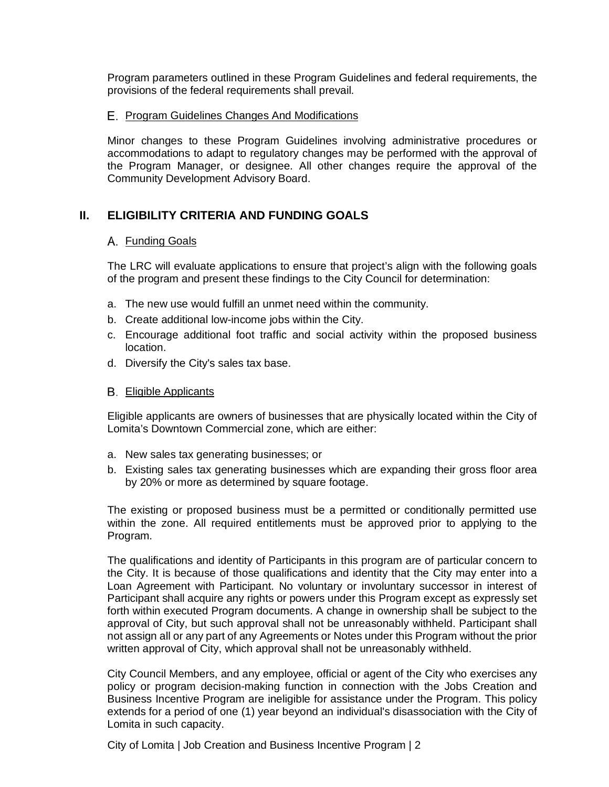Program parameters outlined in these Program Guidelines and federal requirements, the provisions of the federal requirements shall prevail.

### E. Program Guidelines Changes And Modifications

Minor changes to these Program Guidelines involving administrative procedures or accommodations to adapt to regulatory changes may be performed with the approval of the Program Manager, or designee. All other changes require the approval of the Community Development Advisory Board.

# **II. ELIGIBILITY CRITERIA AND FUNDING GOALS**

### A. Funding Goals

The LRC will evaluate applications to ensure that project's align with the following goals of the program and present these findings to the City Council for determination:

- a. The new use would fulfill an unmet need within the community.
- b. Create additional low-income jobs within the City.
- c. Encourage additional foot traffic and social activity within the proposed business location.
- d. Diversify the City's sales tax base.
- **B.** Eligible Applicants

Eligible applicants are owners of businesses that are physically located within the City of Lomita's Downtown Commercial zone, which are either:

- a. New sales tax generating businesses; or
- b. Existing sales tax generating businesses which are expanding their gross floor area by 20% or more as determined by square footage.

The existing or proposed business must be a permitted or conditionally permitted use within the zone. All required entitlements must be approved prior to applying to the Program.

The qualifications and identity of Participants in this program are of particular concern to the City. It is because of those qualifications and identity that the City may enter into a Loan Agreement with Participant. No voluntary or involuntary successor in interest of Participant shall acquire any rights or powers under this Program except as expressly set forth within executed Program documents. A change in ownership shall be subject to the approval of City, but such approval shall not be unreasonably withheld. Participant shall not assign all or any part of any Agreements or Notes under this Program without the prior written approval of City, which approval shall not be unreasonably withheld.

City Council Members, and any employee, official or agent of the City who exercises any policy or program decision-making function in connection with the Jobs Creation and Business Incentive Program are ineligible for assistance under the Program. This policy extends for a period of one (1) year beyond an individual's disassociation with the City of Lomita in such capacity.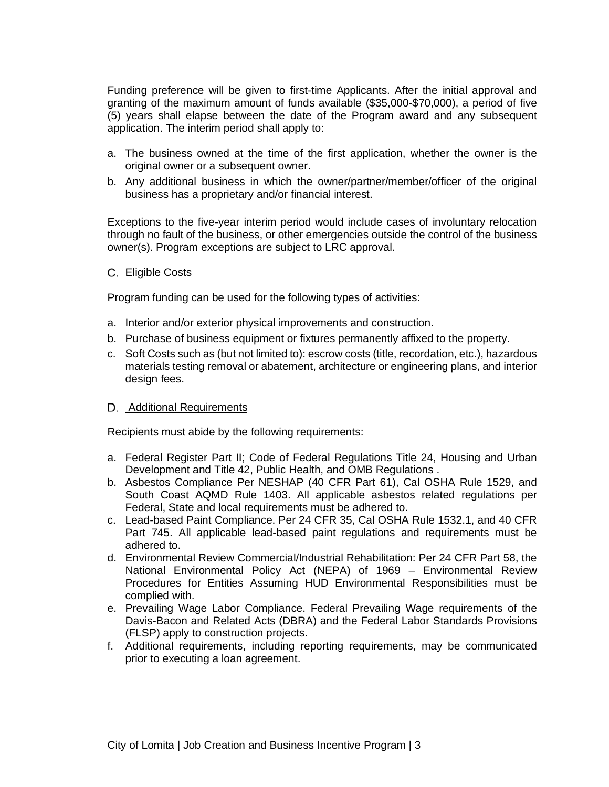Funding preference will be given to first-time Applicants. After the initial approval and granting of the maximum amount of funds available (\$35,000-\$70,000), a period of five (5) years shall elapse between the date of the Program award and any subsequent application. The interim period shall apply to:

- a. The business owned at the time of the first application, whether the owner is the original owner or a subsequent owner.
- b. Any additional business in which the owner/partner/member/officer of the original business has a proprietary and/or financial interest.

Exceptions to the five-year interim period would include cases of involuntary relocation through no fault of the business, or other emergencies outside the control of the business owner(s). Program exceptions are subject to LRC approval.

C. Eligible Costs

Program funding can be used for the following types of activities:

- a. Interior and/or exterior physical improvements and construction.
- b. Purchase of business equipment or fixtures permanently affixed to the property.
- c. Soft Costs such as (but not limited to): escrow costs (title, recordation, etc.), hazardous materials testing removal or abatement, architecture or engineering plans, and interior design fees.

### D. Additional Requirements

Recipients must abide by the following requirements:

- a. Federal Register Part II; Code of Federal Regulations Title 24, Housing and Urban Development and Title 42, Public Health, and OMB Regulations .
- b. Asbestos Compliance Per NESHAP (40 CFR Part 61), Cal OSHA Rule 1529, and South Coast AQMD Rule 1403. All applicable asbestos related regulations per Federal, State and local requirements must be adhered to.
- c. Lead-based Paint Compliance. Per 24 CFR 35, Cal OSHA Rule 1532.1, and 40 CFR Part 745. All applicable lead-based paint regulations and requirements must be adhered to.
- d. Environmental Review Commercial/Industrial Rehabilitation: Per 24 CFR Part 58, the National Environmental Policy Act (NEPA) of 1969 – Environmental Review Procedures for Entities Assuming HUD Environmental Responsibilities must be complied with.
- e. Prevailing Wage Labor Compliance. Federal Prevailing Wage requirements of the Davis-Bacon and Related Acts (DBRA) and the Federal Labor Standards Provisions (FLSP) apply to construction projects.
- f. Additional requirements, including reporting requirements, may be communicated prior to executing a loan agreement.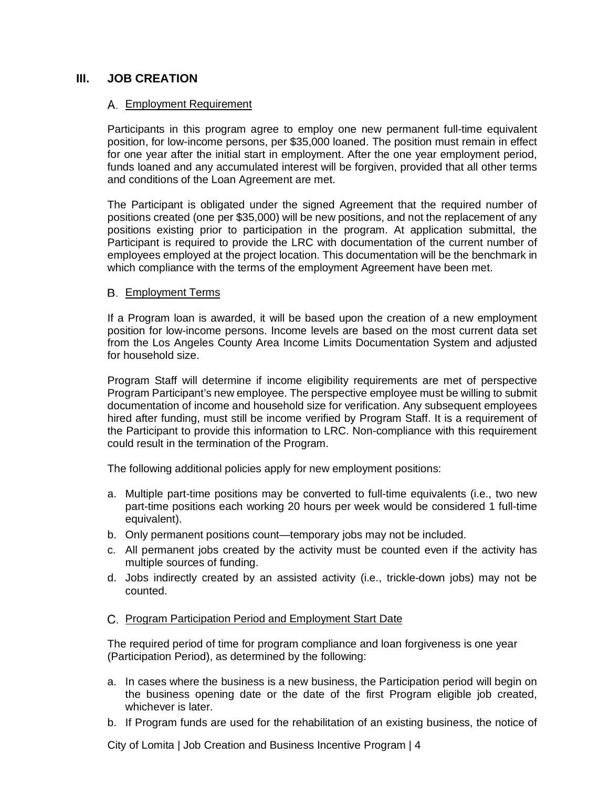# **III. JOB CREATION**

### Employment Requirement

Participants in this program agree to employ one new permanent full-time equivalent position, for low-income persons, per \$35,000 loaned. The position must remain in effect for one year after the initial start in employment. After the one year employment period, funds loaned and any accumulated interest will be forgiven, provided that all other terms and conditions of the Loan Agreement are met.

The Participant is obligated under the signed Agreement that the required number of positions created (one per \$35,000) will be new positions, and not the replacement of any positions existing prior to participation in the program. At application submittal, the Participant is required to provide the LRC with documentation of the current number of employees employed at the project location. This documentation will be the benchmark in which compliance with the terms of the employment Agreement have been met.

### Employment Terms

If a Program loan is awarded, it will be based upon the creation of a new employment position for low-income persons. Income levels are based on the most current data set from the Los Angeles County Area Income Limits Documentation System and adjusted for household size.

Program Staff will determine if income eligibility requirements are met of perspective Program Participant's new employee. The perspective employee must be willing to submit documentation of income and household size for verification. Any subsequent employees hired after funding, must still be income verified by Program Staff. It is a requirement of the Participant to provide this information to LRC. Non-compliance with this requirement could result in the termination of the Program.

The following additional policies apply for new employment positions:

- a. Multiple part-time positions may be converted to full-time equivalents (i.e., two new part-time positions each working 20 hours per week would be considered 1 full-time equivalent).
- b. Only permanent positions count—temporary jobs may not be included.
- c. All permanent jobs created by the activity must be counted even if the activity has multiple sources of funding.
- d. Jobs indirectly created by an assisted activity (i.e., trickle-down jobs) may not be counted.
- C. Program Participation Period and Employment Start Date

The required period of time for program compliance and loan forgiveness is one year (Participation Period), as determined by the following:

- a. In cases where the business is a new business, the Participation period will begin on the business opening date or the date of the first Program eligible job created, whichever is later.
- b. If Program funds are used for the rehabilitation of an existing business, the notice of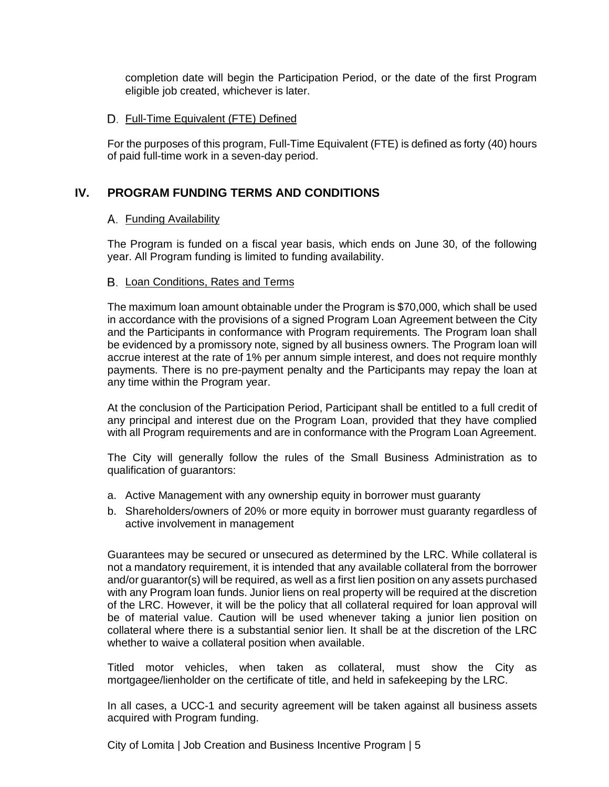completion date will begin the Participation Period, or the date of the first Program eligible job created, whichever is later.

## D. Full-Time Equivalent (FTE) Defined

For the purposes of this program, Full-Time Equivalent (FTE) is defined as forty (40) hours of paid full-time work in a seven-day period.

# **IV. PROGRAM FUNDING TERMS AND CONDITIONS**

# A. Funding Availability

The Program is funded on a fiscal year basis, which ends on June 30, of the following year. All Program funding is limited to funding availability.

## B. Loan Conditions, Rates and Terms

The maximum loan amount obtainable under the Program is \$70,000, which shall be used in accordance with the provisions of a signed Program Loan Agreement between the City and the Participants in conformance with Program requirements. The Program loan shall be evidenced by a promissory note, signed by all business owners. The Program loan will accrue interest at the rate of 1% per annum simple interest, and does not require monthly payments. There is no pre-payment penalty and the Participants may repay the loan at any time within the Program year.

At the conclusion of the Participation Period, Participant shall be entitled to a full credit of any principal and interest due on the Program Loan, provided that they have complied with all Program requirements and are in conformance with the Program Loan Agreement.

The City will generally follow the rules of the Small Business Administration as to qualification of guarantors:

- a. Active Management with any ownership equity in borrower must guaranty
- b. Shareholders/owners of 20% or more equity in borrower must guaranty regardless of active involvement in management

Guarantees may be secured or unsecured as determined by the LRC. While collateral is not a mandatory requirement, it is intended that any available collateral from the borrower and/or guarantor(s) will be required, as well as a first lien position on any assets purchased with any Program loan funds. Junior liens on real property will be required at the discretion of the LRC. However, it will be the policy that all collateral required for loan approval will be of material value. Caution will be used whenever taking a junior lien position on collateral where there is a substantial senior lien. It shall be at the discretion of the LRC whether to waive a collateral position when available.

Titled motor vehicles, when taken as collateral, must show the City as mortgagee/lienholder on the certificate of title, and held in safekeeping by the LRC.

In all cases, a UCC-1 and security agreement will be taken against all business assets acquired with Program funding.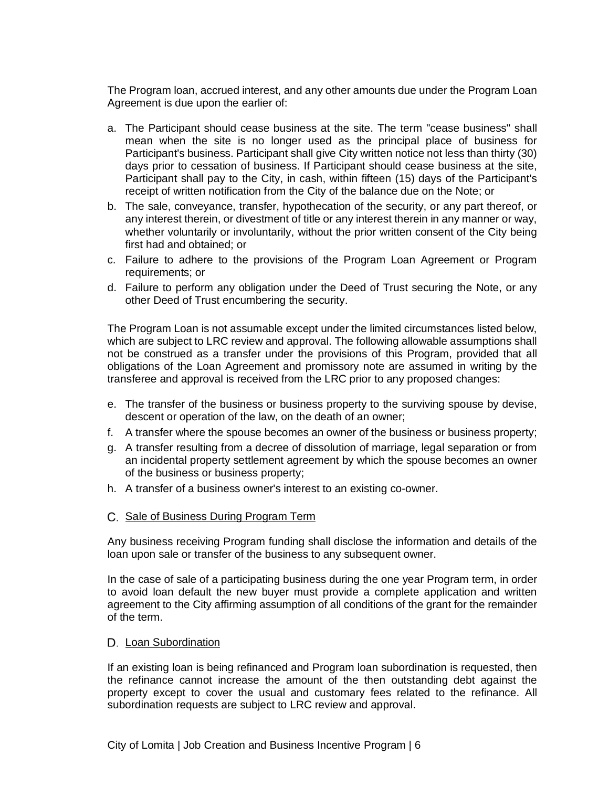The Program loan, accrued interest, and any other amounts due under the Program Loan Agreement is due upon the earlier of:

- a. The Participant should cease business at the site. The term "cease business" shall mean when the site is no longer used as the principal place of business for Participant's business. Participant shall give City written notice not less than thirty (30) days prior to cessation of business. If Participant should cease business at the site, Participant shall pay to the City, in cash, within fifteen (15) days of the Participant's receipt of written notification from the City of the balance due on the Note; or
- b. The sale, conveyance, transfer, hypothecation of the security, or any part thereof, or any interest therein, or divestment of title or any interest therein in any manner or way, whether voluntarily or involuntarily, without the prior written consent of the City being first had and obtained; or
- c. Failure to adhere to the provisions of the Program Loan Agreement or Program requirements; or
- d. Failure to perform any obligation under the Deed of Trust securing the Note, or any other Deed of Trust encumbering the security.

The Program Loan is not assumable except under the limited circumstances listed below, which are subject to LRC review and approval. The following allowable assumptions shall not be construed as a transfer under the provisions of this Program, provided that all obligations of the Loan Agreement and promissory note are assumed in writing by the transferee and approval is received from the LRC prior to any proposed changes:

- e. The transfer of the business or business property to the surviving spouse by devise, descent or operation of the law, on the death of an owner;
- f. A transfer where the spouse becomes an owner of the business or business property;
- g. A transfer resulting from a decree of dissolution of marriage, legal separation or from an incidental property settlement agreement by which the spouse becomes an owner of the business or business property;
- h. A transfer of a business owner's interest to an existing co-owner.
- C. Sale of Business During Program Term

Any business receiving Program funding shall disclose the information and details of the loan upon sale or transfer of the business to any subsequent owner.

In the case of sale of a participating business during the one year Program term, in order to avoid loan default the new buyer must provide a complete application and written agreement to the City affirming assumption of all conditions of the grant for the remainder of the term.

### D. Loan Subordination

If an existing loan is being refinanced and Program loan subordination is requested, then the refinance cannot increase the amount of the then outstanding debt against the property except to cover the usual and customary fees related to the refinance. All subordination requests are subject to LRC review and approval.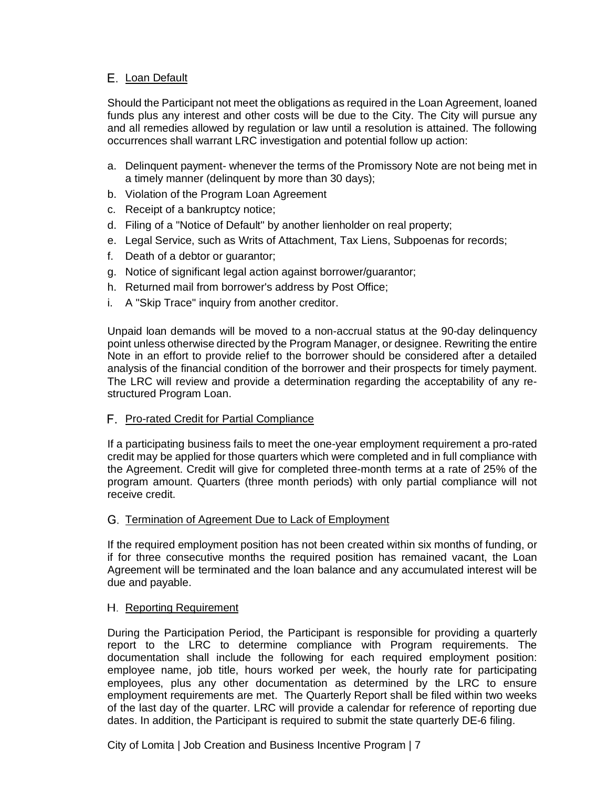# E. Loan Default

Should the Participant not meet the obligations as required in the Loan Agreement, loaned funds plus any interest and other costs will be due to the City. The City will pursue any and all remedies allowed by regulation or law until a resolution is attained. The following occurrences shall warrant LRC investigation and potential follow up action:

- a. Delinquent payment- whenever the terms of the Promissory Note are not being met in a timely manner (delinquent by more than 30 days);
- b. Violation of the Program Loan Agreement
- c. Receipt of a bankruptcy notice;
- d. Filing of a "Notice of Default" by another lienholder on real property;
- e. Legal Service, such as Writs of Attachment, Tax Liens, Subpoenas for records;
- f. Death of a debtor or guarantor;
- g. Notice of significant legal action against borrower/guarantor;
- h. Returned mail from borrower's address by Post Office;
- i. A "Skip Trace" inquiry from another creditor.

Unpaid loan demands will be moved to a non-accrual status at the 90-day delinquency point unless otherwise directed by the Program Manager, or designee. Rewriting the entire Note in an effort to provide relief to the borrower should be considered after a detailed analysis of the financial condition of the borrower and their prospects for timely payment. The LRC will review and provide a determination regarding the acceptability of any restructured Program Loan.

## F. Pro-rated Credit for Partial Compliance

If a participating business fails to meet the one-year employment requirement a pro-rated credit may be applied for those quarters which were completed and in full compliance with the Agreement. Credit will give for completed three-month terms at a rate of 25% of the program amount. Quarters (three month periods) with only partial compliance will not receive credit.

## G. Termination of Agreement Due to Lack of Employment

If the required employment position has not been created within six months of funding, or if for three consecutive months the required position has remained vacant, the Loan Agreement will be terminated and the loan balance and any accumulated interest will be due and payable.

### H. Reporting Requirement

During the Participation Period, the Participant is responsible for providing a quarterly report to the LRC to determine compliance with Program requirements. The documentation shall include the following for each required employment position: employee name, job title, hours worked per week, the hourly rate for participating employees, plus any other documentation as determined by the LRC to ensure employment requirements are met. The Quarterly Report shall be filed within two weeks of the last day of the quarter. LRC will provide a calendar for reference of reporting due dates. In addition, the Participant is required to submit the state quarterly DE-6 filing.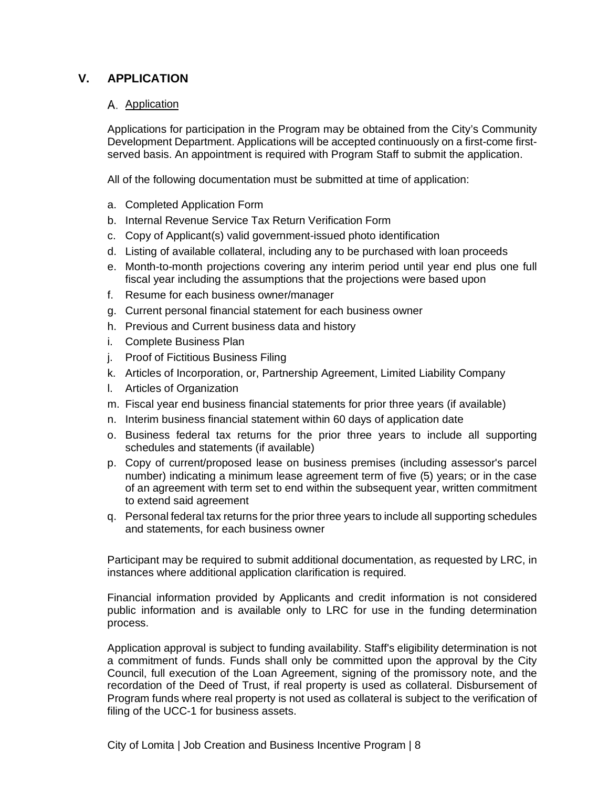# **V. APPLICATION**

## A. Application

Applications for participation in the Program may be obtained from the City's Community Development Department. Applications will be accepted continuously on a first-come firstserved basis. An appointment is required with Program Staff to submit the application.

All of the following documentation must be submitted at time of application:

- a. Completed Application Form
- b. Internal Revenue Service Tax Return Verification Form
- c. Copy of Applicant(s) valid government-issued photo identification
- d. Listing of available collateral, including any to be purchased with loan proceeds
- e. Month-to-month projections covering any interim period until year end plus one full fiscal year including the assumptions that the projections were based upon
- f. Resume for each business owner/manager
- g. Current personal financial statement for each business owner
- h. Previous and Current business data and history
- i. Complete Business Plan
- j. Proof of Fictitious Business Filing
- k. Articles of Incorporation, or, Partnership Agreement, Limited Liability Company
- l. Articles of Organization
- m. Fiscal year end business financial statements for prior three years (if available)
- n. Interim business financial statement within 60 days of application date
- o. Business federal tax returns for the prior three years to include all supporting schedules and statements (if available)
- p. Copy of current/proposed lease on business premises (including assessor's parcel number) indicating a minimum lease agreement term of five (5) years; or in the case of an agreement with term set to end within the subsequent year, written commitment to extend said agreement
- q. Personal federal tax returns for the prior three years to include all supporting schedules and statements, for each business owner

Participant may be required to submit additional documentation, as requested by LRC, in instances where additional application clarification is required.

Financial information provided by Applicants and credit information is not considered public information and is available only to LRC for use in the funding determination process.

Application approval is subject to funding availability. Staff's eligibility determination is not a commitment of funds. Funds shall only be committed upon the approval by the City Council, full execution of the Loan Agreement, signing of the promissory note, and the recordation of the Deed of Trust, if real property is used as collateral. Disbursement of Program funds where real property is not used as collateral is subject to the verification of filing of the UCC-1 for business assets.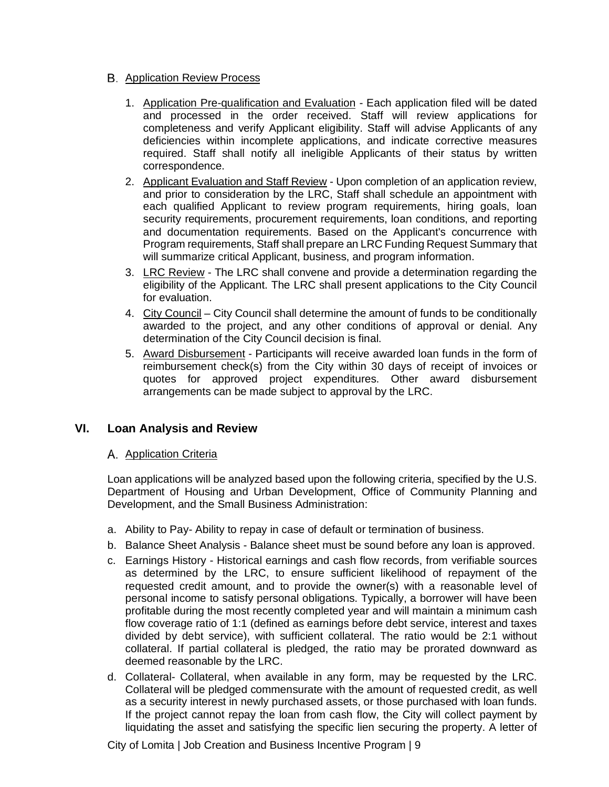## **B.** Application Review Process

- 1. Application Pre-qualification and Evaluation Each application filed will be dated and processed in the order received. Staff will review applications for completeness and verify Applicant eligibility. Staff will advise Applicants of any deficiencies within incomplete applications, and indicate corrective measures required. Staff shall notify all ineligible Applicants of their status by written correspondence.
- 2. Applicant Evaluation and Staff Review Upon completion of an application review, and prior to consideration by the LRC, Staff shall schedule an appointment with each qualified Applicant to review program requirements, hiring goals, loan security requirements, procurement requirements, loan conditions, and reporting and documentation requirements. Based on the Applicant's concurrence with Program requirements, Staff shall prepare an LRC Funding Request Summary that will summarize critical Applicant, business, and program information.
- 3. LRC Review The LRC shall convene and provide a determination regarding the eligibility of the Applicant. The LRC shall present applications to the City Council for evaluation.
- 4. City Council City Council shall determine the amount of funds to be conditionally awarded to the project, and any other conditions of approval or denial. Any determination of the City Council decision is final.
- 5. Award Disbursement Participants will receive awarded loan funds in the form of reimbursement check(s) from the City within 30 days of receipt of invoices or quotes for approved project expenditures. Other award disbursement arrangements can be made subject to approval by the LRC.

# **VI. Loan Analysis and Review**

## A. Application Criteria

Loan applications will be analyzed based upon the following criteria, specified by the U.S. Department of Housing and Urban Development, Office of Community Planning and Development, and the Small Business Administration:

- a. Ability to Pay- Ability to repay in case of default or termination of business.
- b. Balance Sheet Analysis Balance sheet must be sound before any loan is approved.
- c. Earnings History Historical earnings and cash flow records, from verifiable sources as determined by the LRC, to ensure sufficient likelihood of repayment of the requested credit amount, and to provide the owner(s) with a reasonable level of personal income to satisfy personal obligations. Typically, a borrower will have been profitable during the most recently completed year and will maintain a minimum cash flow coverage ratio of 1:1 (defined as earnings before debt service, interest and taxes divided by debt service), with sufficient collateral. The ratio would be 2:1 without collateral. If partial collateral is pledged, the ratio may be prorated downward as deemed reasonable by the LRC.
- d. Collateral- Collateral, when available in any form, may be requested by the LRC. Collateral will be pledged commensurate with the amount of requested credit, as well as a security interest in newly purchased assets, or those purchased with loan funds. If the project cannot repay the loan from cash flow, the City will collect payment by liquidating the asset and satisfying the specific lien securing the property. A letter of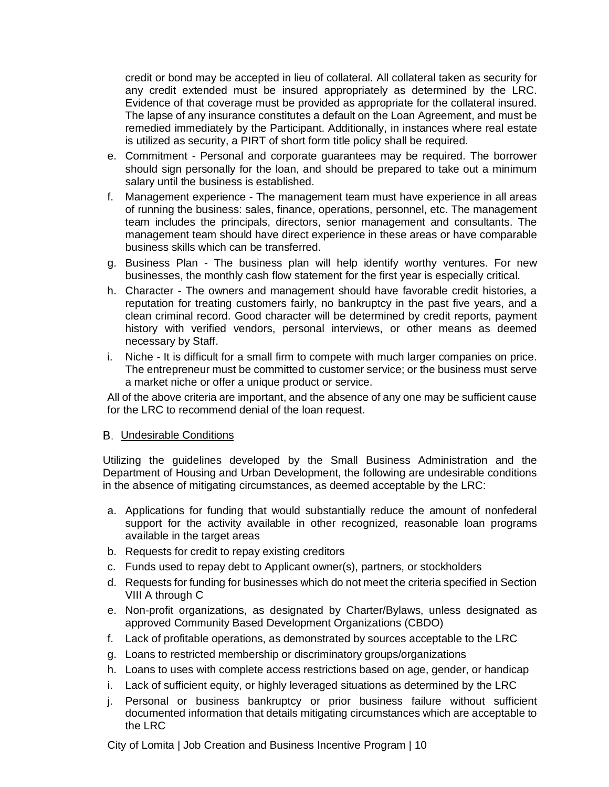credit or bond may be accepted in lieu of collateral. All collateral taken as security for any credit extended must be insured appropriately as determined by the LRC. Evidence of that coverage must be provided as appropriate for the collateral insured. The lapse of any insurance constitutes a default on the Loan Agreement, and must be remedied immediately by the Participant. Additionally, in instances where real estate is utilized as security, a PIRT of short form title policy shall be required.

- e. Commitment Personal and corporate guarantees may be required. The borrower should sign personally for the loan, and should be prepared to take out a minimum salary until the business is established.
- f. Management experience The management team must have experience in all areas of running the business: sales, finance, operations, personnel, etc. The management team includes the principals, directors, senior management and consultants. The management team should have direct experience in these areas or have comparable business skills which can be transferred.
- g. Business Plan The business plan will help identify worthy ventures. For new businesses, the monthly cash flow statement for the first year is especially critical.
- h. Character The owners and management should have favorable credit histories, a reputation for treating customers fairly, no bankruptcy in the past five years, and a clean criminal record. Good character will be determined by credit reports, payment history with verified vendors, personal interviews, or other means as deemed necessary by Staff.
- i. Niche It is difficult for a small firm to compete with much larger companies on price. The entrepreneur must be committed to customer service; or the business must serve a market niche or offer a unique product or service.

All of the above criteria are important, and the absence of any one may be sufficient cause for the LRC to recommend denial of the loan request.

### B. Undesirable Conditions

Utilizing the guidelines developed by the Small Business Administration and the Department of Housing and Urban Development, the following are undesirable conditions in the absence of mitigating circumstances, as deemed acceptable by the LRC:

- a. Applications for funding that would substantially reduce the amount of nonfederal support for the activity available in other recognized, reasonable loan programs available in the target areas
- b. Requests for credit to repay existing creditors
- c. Funds used to repay debt to Applicant owner(s), partners, or stockholders
- d. Requests for funding for businesses which do not meet the criteria specified in Section VIII A through C
- e. Non-profit organizations, as designated by Charter/Bylaws, unless designated as approved Community Based Development Organizations (CBDO)
- f. Lack of profitable operations, as demonstrated by sources acceptable to the LRC
- g. Loans to restricted membership or discriminatory groups/organizations
- h. Loans to uses with complete access restrictions based on age, gender, or handicap
- i. Lack of sufficient equity, or highly leveraged situations as determined by the LRC
- j. Personal or business bankruptcy or prior business failure without sufficient documented information that details mitigating circumstances which are acceptable to the LRC